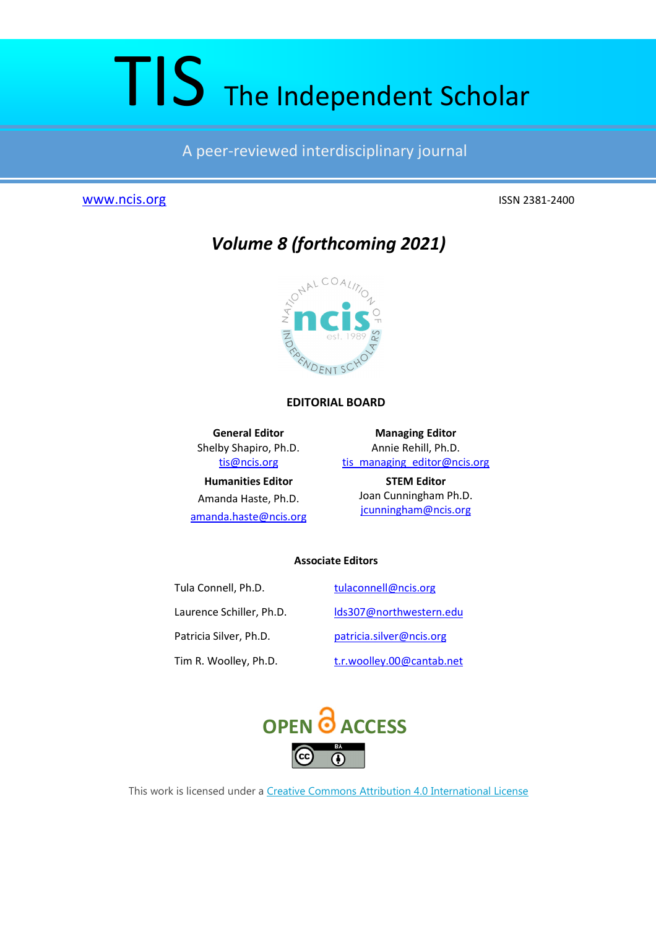# TIS The Independent Scholar

A peer-reviewed interdisciplinary journal

# www.ncis.org ISSN 2381-2400



*Volume 8 (forthcoming 2021)*

# **EDITORIAL BOARD**

**General Editor**  Shelby Shapiro, Ph.D. tis@ncis.org **Humanities Editor**  Amanda Haste, Ph.D. amanda.haste@ncis.org

**Managing Editor**  Annie Rehill, Ph.D. tis\_managing\_editor@ncis.org

> **STEM Editor**  Joan Cunningham Ph.D. jcunningham@ncis.org

# **Associate Editors**

Tula Connell, Ph.D. tulaconnell@ncis.org Laurence Schiller, Ph.D. lds307@northwestern.edu Patricia Silver, Ph.D. patricia.silver@ncis.org Tim R. Woolley, Ph.D. t.r.woolley.00@cantab.net



This work is licensed under a Creative Commons Attribution 4.0 International License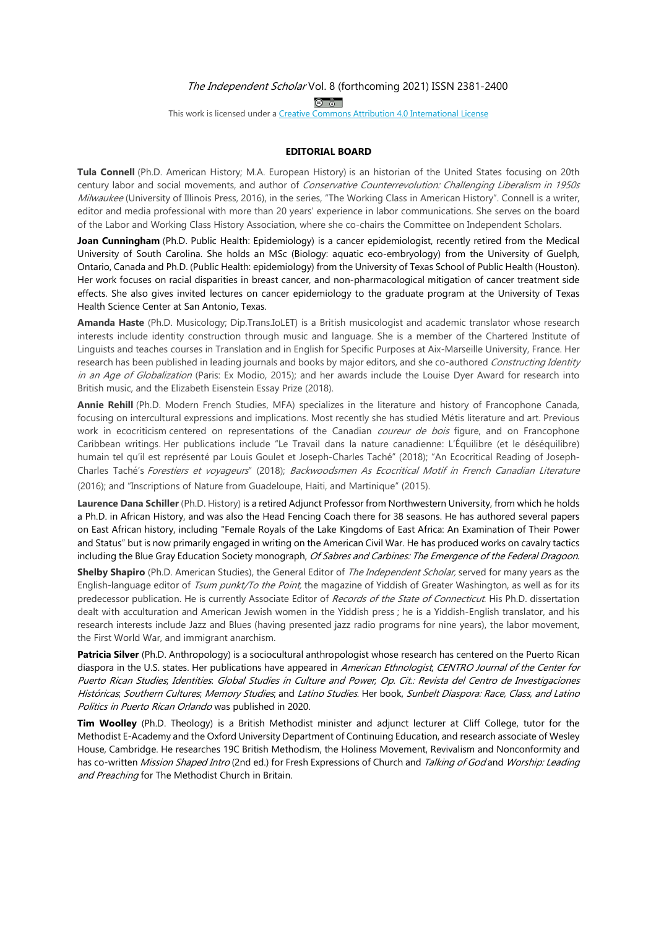$\circledcirc$ 

This work is licensed under a Creative Commons Attribution 4.0 International License

#### **EDITORIAL BOARD**

**Tula Connell** (Ph.D. American History; M.A. European History) is an historian of the United States focusing on 20th century labor and social movements, and author of Conservative Counterrevolution: Challenging Liberalism in 1950s Milwaukee (University of Illinois Press, 2016), in the series, "The Working Class in American History". Connell is a writer, editor and media professional with more than 20 years' experience in labor communications. She serves on the board of the Labor and Working Class History Association, where she co-chairs the Committee on Independent Scholars.

**Joan Cunningham** (Ph.D. Public Health: Epidemiology) is a cancer epidemiologist, recently retired from the Medical University of South Carolina. She holds an MSc (Biology: aquatic eco-embryology) from the University of Guelph, Ontario, Canada and Ph.D. (Public Health: epidemiology) from the University of Texas School of Public Health (Houston). Her work focuses on racial disparities in breast cancer, and non-pharmacological mitigation of cancer treatment side effects. She also gives invited lectures on cancer epidemiology to the graduate program at the University of Texas Health Science Center at San Antonio, Texas.

**Amanda Haste** (Ph.D. Musicology; Dip.Trans.IoLET) is a British musicologist and academic translator whose research interests include identity construction through music and language. She is a member of the Chartered Institute of Linguists and teaches courses in Translation and in English for Specific Purposes at Aix-Marseille University, France. Her research has been published in leading journals and books by major editors, and she co-authored Constructing Identity in an Age of Globalization (Paris: Ex Modio, 2015); and her awards include the Louise Dyer Award for research into British music, and the Elizabeth Eisenstein Essay Prize (2018).

**Annie Rehill** (Ph.D. Modern French Studies, MFA) specializes in the literature and history of Francophone Canada, focusing on intercultural expressions and implications. Most recently she has studied Métis literature and art. Previous work in ecocriticism centered on representations of the Canadian *coureur de bois* figure, and on Francophone Caribbean writings. Her publications include "Le Travail dans la nature canadienne: L'Équilibre (et le déséquilibre) humain tel qu'il est représenté par Louis Goulet et Joseph-Charles Taché" (2018); "An Ecocritical Reading of Joseph-Charles Taché's Forestiers et voyageurs" (2018); Backwoodsmen As Ecocritical Motif in French Canadian Literature (2016); and "Inscriptions of Nature from Guadeloupe, Haiti, and Martinique" (2015).

**Laurence Dana Schiller** (Ph.D. History) is a retired Adjunct Professor from Northwestern University, from which he holds a Ph.D. in African History, and was also the Head Fencing Coach there for 38 seasons. He has authored several papers on East African history, including "Female Royals of the Lake Kingdoms of East Africa: An Examination of Their Power and Status" but is now primarily engaged in writing on the American Civil War. He has produced works on cavalry tactics including the Blue Gray Education Society monograph, Of Sabres and Carbines: The Emergence of the Federal Dragoon.

**Shelby Shapiro** (Ph.D. American Studies), the General Editor of The Independent Scholar, served for many years as the English-language editor of Tsum punkt/To the Point, the magazine of Yiddish of Greater Washington, as well as for its predecessor publication. He is currently Associate Editor of Records of the State of Connecticut. His Ph.D. dissertation dealt with acculturation and American Jewish women in the Yiddish press ; he is a Yiddish-English translator, and his research interests include Jazz and Blues (having presented jazz radio programs for nine years), the labor movement, the First World War, and immigrant anarchism.

**Patricia Silver** (Ph.D. Anthropology) is a sociocultural anthropologist whose research has centered on the Puerto Rican diaspora in the U.S. states. Her publications have appeared in American Ethnologist; CENTRO Journal of the Center for Puerto Rican Studies; Identities: Global Studies in Culture and Power; Op. Cit.: Revista del Centro de Investigaciones Históricas; Southern Cultures; Memory Studies; and Latino Studies. Her book, Sunbelt Diaspora: Race, Class, and Latino Politics in Puerto Rican Orlando was published in 2020.

**Tim Woolley** (Ph.D. Theology) is a British Methodist minister and adjunct lecturer at Cliff College, tutor for the Methodist E-Academy and the Oxford University Department of Continuing Education, and research associate of Wesley House, Cambridge. He researches 19C British Methodism, the Holiness Movement, Revivalism and Nonconformity and has co-written Mission Shaped Intro (2nd ed.) for Fresh Expressions of Church and Talking of God and Worship: Leading and Preaching for The Methodist Church in Britain.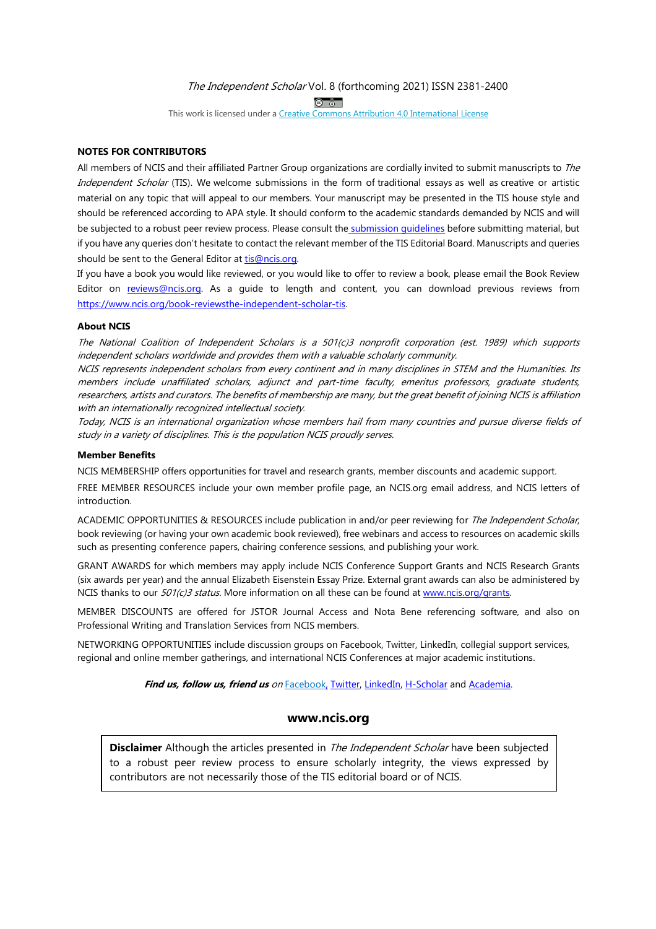$\circledcirc$ 

This work is licensed under a Creative Commons Attribution 4.0 International License

#### **NOTES FOR CONTRIBUTORS**

All members of NCIS and their affiliated Partner Group organizations are cordially invited to submit manuscripts to The Independent Scholar (TIS). We welcome submissions in the form of traditional essays as well as creative or artistic material on any topic that will appeal to our members. Your manuscript may be presented in the TIS house style and should be referenced according to APA style. It should conform to the academic standards demanded by NCIS and will be subjected to a robust peer review process. Please consult the submission quidelines before submitting material, but if you have any queries don't hesitate to contact the relevant member of the TIS Editorial Board. Manuscripts and queries should be sent to the General Editor at tis@ncis.org.

If you have a book you would like reviewed, or you would like to offer to review a book, please email the Book Review Editor on reviews@ncis.org. As a quide to length and content, you can download previous reviews from https://www.ncis.org/book-reviewsthe-independent-scholar-tis.

#### **About NCIS**

The National Coalition of Independent Scholars is a 501(c)3 nonprofit corporation (est. 1989) which supports independent scholars worldwide and provides them with a valuable scholarly community.

NCIS represents independent scholars from every continent and in many disciplines in STEM and the Humanities. Its members include unaffiliated scholars, adjunct and part-time faculty, emeritus professors, graduate students, researchers, artists and curators. The benefits of membership are many, but the great benefit of joining NCIS is affiliation with an internationally recognized intellectual society.

Today, NCIS is an international organization whose members hail from many countries and pursue diverse fields of study in a variety of disciplines. This is the population NCIS proudly serves.

#### **Member Benefits**

NCIS MEMBERSHIP offers opportunities for travel and research grants, member discounts and academic support.

FREE MEMBER RESOURCES include your own member profile page, an NCIS.org email address, and NCIS letters of introduction.

ACADEMIC OPPORTUNITIES & RESOURCES include publication in and/or peer reviewing for *The Independent Scholar*, book reviewing (or having your own academic book reviewed), free webinars and access to resources on academic skills such as presenting conference papers, chairing conference sessions, and publishing your work.

GRANT AWARDS for which members may apply include NCIS Conference Support Grants and NCIS Research Grants (six awards per year) and the annual Elizabeth Eisenstein Essay Prize. External grant awards can also be administered by NCIS thanks to our  $501(c)3$  status. More information on all these can be found at www.ncis.org/grants.

MEMBER DISCOUNTS are offered for JSTOR Journal Access and Nota Bene referencing software, and also on Professional Writing and Translation Services from NCIS members.

NETWORKING OPPORTUNITIES include discussion groups on Facebook, Twitter, LinkedIn, collegial support services, regional and online member gatherings, and international NCIS Conferences at major academic institutions.

**Find us, follow us, friend us** on Facebook, Twitter, LinkedIn, H-Scholar and Academia.

# **www.ncis.org**

**Disclaimer** Although the articles presented in *The Independent Scholar* have been subjected to a robust peer review process to ensure scholarly integrity, the views expressed by contributors are not necessarily those of the TIS editorial board or of NCIS.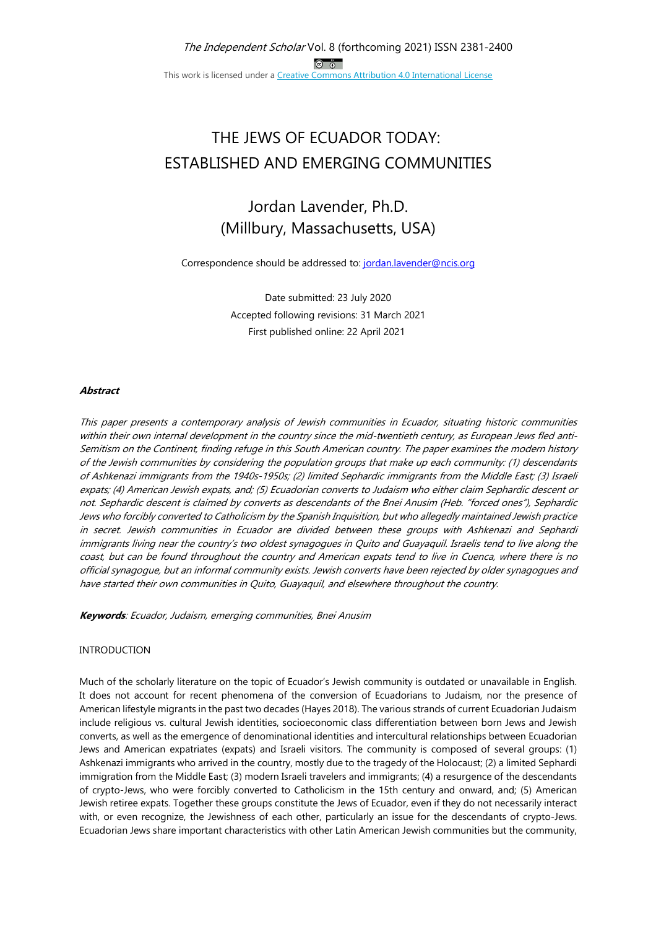# THE JEWS OF ECUADOR TODAY: ESTABLISHED AND EMERGING COMMUNITIES

# Jordan Lavender, Ph.D. (Millbury, Massachusetts, USA)

Correspondence should be addressed to: jordan.lavender@ncis.org

Date submitted: 23 July 2020 Accepted following revisions: 31 March 2021 First published online: 22 April 2021

## **Abstract**

This paper presents a contemporary analysis of Jewish communities in Ecuador, situating historic communities within their own internal development in the country since the mid-twentieth century, as European Jews fled anti-Semitism on the Continent, finding refuge in this South American country. The paper examines the modern history of the Jewish communities by considering the population groups that make up each community: (1) descendants of Ashkenazi immigrants from the 1940s-1950s; (2) limited Sephardic immigrants from the Middle East; (3) Israeli expats; (4) American Jewish expats, and; (5) Ecuadorian converts to Judaism who either claim Sephardic descent or not. Sephardic descent is claimed by converts as descendants of the Bnei Anusim (Heb. "forced ones"), Sephardic Jews who forcibly converted to Catholicism by the Spanish Inquisition, but who allegedly maintained Jewish practice in secret. Jewish communities in Ecuador are divided between these groups with Ashkenazi and Sephardi immigrants living near the country's two oldest synagogues in Quito and Guayaquil. Israelis tend to live along the coast, but can be found throughout the country and American expats tend to live in Cuenca, where there is no official synagogue, but an informal community exists. Jewish converts have been rejected by older synagogues and have started their own communities in Quito, Guayaquil, and elsewhere throughout the country.

**Keywords**: Ecuador, Judaism, emerging communities, Bnei Anusim

#### INTRODUCTION

Much of the scholarly literature on the topic of Ecuador's Jewish community is outdated or unavailable in English. It does not account for recent phenomena of the conversion of Ecuadorians to Judaism, nor the presence of American lifestyle migrants in the past two decades (Hayes 2018). The various strands of current Ecuadorian Judaism include religious vs. cultural Jewish identities, socioeconomic class differentiation between born Jews and Jewish converts, as well as the emergence of denominational identities and intercultural relationships between Ecuadorian Jews and American expatriates (expats) and Israeli visitors. The community is composed of several groups: (1) Ashkenazi immigrants who arrived in the country, mostly due to the tragedy of the Holocaust; (2) a limited Sephardi immigration from the Middle East; (3) modern Israeli travelers and immigrants; (4) a resurgence of the descendants of crypto-Jews, who were forcibly converted to Catholicism in the 15th century and onward, and; (5) American Jewish retiree expats. Together these groups constitute the Jews of Ecuador, even if they do not necessarily interact with, or even recognize, the Jewishness of each other, particularly an issue for the descendants of crypto-Jews. Ecuadorian Jews share important characteristics with other Latin American Jewish communities but the community,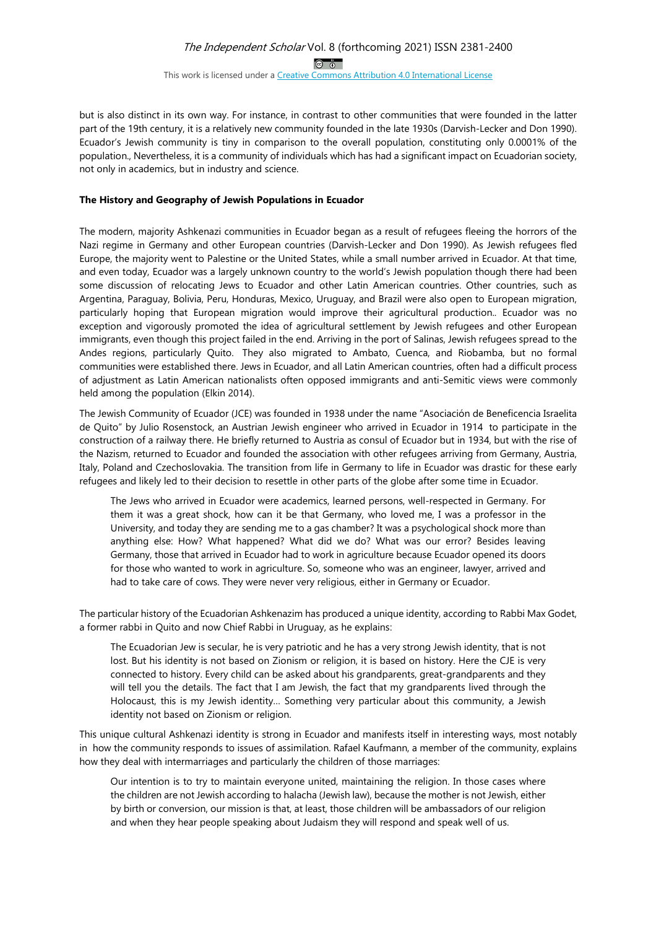#### The Independent Scholar Vol. 8 (forthcoming 2021) ISSN 2381-2400  $\circledcirc$   $\circledcirc$ This work is licensed under a Creative Commons Attribution 4.0 International License

but is also distinct in its own way. For instance, in contrast to other communities that were founded in the latter part of the 19th century, it is a relatively new community founded in the late 1930s (Darvish-Lecker and Don 1990). Ecuador's Jewish community is tiny in comparison to the overall population, constituting only 0.0001% of the population., Nevertheless, it is a community of individuals which has had a significant impact on Ecuadorian society, not only in academics, but in industry and science.

#### **The History and Geography of Jewish Populations in Ecuador**

The modern, majority Ashkenazi communities in Ecuador began as a result of refugees fleeing the horrors of the Nazi regime in Germany and other European countries (Darvish-Lecker and Don 1990). As Jewish refugees fled Europe, the majority went to Palestine or the United States, while a small number arrived in Ecuador. At that time, and even today, Ecuador was a largely unknown country to the world's Jewish population though there had been some discussion of relocating Jews to Ecuador and other Latin American countries. Other countries, such as Argentina, Paraguay, Bolivia, Peru, Honduras, Mexico, Uruguay, and Brazil were also open to European migration, particularly hoping that European migration would improve their agricultural production.. Ecuador was no exception and vigorously promoted the idea of agricultural settlement by Jewish refugees and other European immigrants, even though this project failed in the end. Arriving in the port of Salinas, Jewish refugees spread to the Andes regions, particularly Quito. They also migrated to Ambato, Cuenca, and Riobamba, but no formal communities were established there. Jews in Ecuador, and all Latin American countries, often had a difficult process of adjustment as Latin American nationalists often opposed immigrants and anti-Semitic views were commonly held among the population (Elkin 2014).

The Jewish Community of Ecuador (JCE) was founded in 1938 under the name "Asociación de Beneficencia Israelita de Quito" by Julio Rosenstock, an Austrian Jewish engineer who arrived in Ecuador in 1914 to participate in the construction of a railway there. He briefly returned to Austria as consul of Ecuador but in 1934, but with the rise of the Nazism, returned to Ecuador and founded the association with other refugees arriving from Germany, Austria, Italy, Poland and Czechoslovakia. The transition from life in Germany to life in Ecuador was drastic for these early refugees and likely led to their decision to resettle in other parts of the globe after some time in Ecuador.

The Jews who arrived in Ecuador were academics, learned persons, well-respected in Germany. For them it was a great shock, how can it be that Germany, who loved me, I was a professor in the University, and today they are sending me to a gas chamber? It was a psychological shock more than anything else: How? What happened? What did we do? What was our error? Besides leaving Germany, those that arrived in Ecuador had to work in agriculture because Ecuador opened its doors for those who wanted to work in agriculture. So, someone who was an engineer, lawyer, arrived and had to take care of cows. They were never very religious, either in Germany or Ecuador.

The particular history of the Ecuadorian Ashkenazim has produced a unique identity, according to Rabbi Max Godet, a former rabbi in Quito and now Chief Rabbi in Uruguay, as he explains:

The Ecuadorian Jew is secular, he is very patriotic and he has a very strong Jewish identity, that is not lost. But his identity is not based on Zionism or religion, it is based on history. Here the CJE is very connected to history. Every child can be asked about his grandparents, great-grandparents and they will tell you the details. The fact that I am Jewish, the fact that my grandparents lived through the Holocaust, this is my Jewish identity… Something very particular about this community, a Jewish identity not based on Zionism or religion.

This unique cultural Ashkenazi identity is strong in Ecuador and manifests itself in interesting ways, most notably in how the community responds to issues of assimilation. Rafael Kaufmann, a member of the community, explains how they deal with intermarriages and particularly the children of those marriages:

Our intention is to try to maintain everyone united, maintaining the religion. In those cases where the children are not Jewish according to halacha (Jewish law), because the mother is not Jewish, either by birth or conversion, our mission is that, at least, those children will be ambassadors of our religion and when they hear people speaking about Judaism they will respond and speak well of us.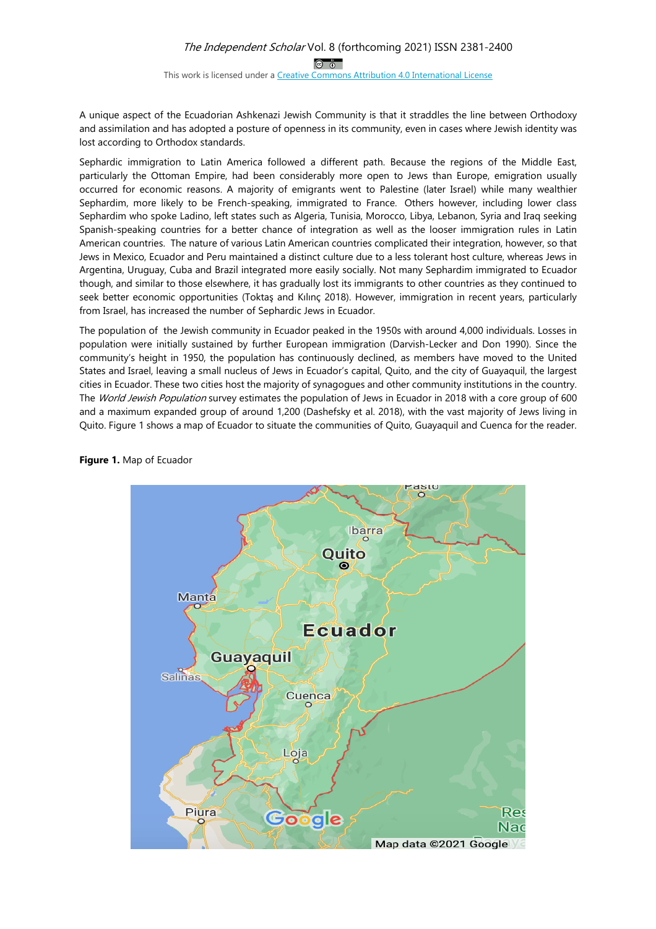# The Independent Scholar Vol. 8 (forthcoming 2021) ISSN 2381-2400  $\circledcirc$

This work is licensed under a Creative Commons Attribution 4.0 International License

A unique aspect of the Ecuadorian Ashkenazi Jewish Community is that it straddles the line between Orthodoxy and assimilation and has adopted a posture of openness in its community, even in cases where Jewish identity was lost according to Orthodox standards.

Sephardic immigration to Latin America followed a different path. Because the regions of the Middle East, particularly the Ottoman Empire, had been considerably more open to Jews than Europe, emigration usually occurred for economic reasons. A majority of emigrants went to Palestine (later Israel) while many wealthier Sephardim, more likely to be French-speaking, immigrated to France. Others however, including lower class Sephardim who spoke Ladino, left states such as Algeria, Tunisia, Morocco, Libya, Lebanon, Syria and Iraq seeking Spanish-speaking countries for a better chance of integration as well as the looser immigration rules in Latin American countries. The nature of various Latin American countries complicated their integration, however, so that Jews in Mexico, Ecuador and Peru maintained a distinct culture due to a less tolerant host culture, whereas Jews in Argentina, Uruguay, Cuba and Brazil integrated more easily socially. Not many Sephardim immigrated to Ecuador though, and similar to those elsewhere, it has gradually lost its immigrants to other countries as they continued to seek better economic opportunities (Toktas and Kılınc 2018). However, immigration in recent years, particularly from Israel, has increased the number of Sephardic Jews in Ecuador.

The population of the Jewish community in Ecuador peaked in the 1950s with around 4,000 individuals. Losses in population were initially sustained by further European immigration (Darvish-Lecker and Don 1990). Since the community's height in 1950, the population has continuously declined, as members have moved to the United States and Israel, leaving a small nucleus of Jews in Ecuador's capital, Quito, and the city of Guayaquil, the largest cities in Ecuador. These two cities host the majority of synagogues and other community institutions in the country. The World Jewish Population survey estimates the population of Jews in Ecuador in 2018 with a core group of 600 and a maximum expanded group of around 1,200 (Dashefsky et al. 2018), with the vast majority of Jews living in Quito. Figure 1 shows a map of Ecuador to situate the communities of Quito, Guayaquil and Cuenca for the reader.



**Figure 1.** Map of Ecuador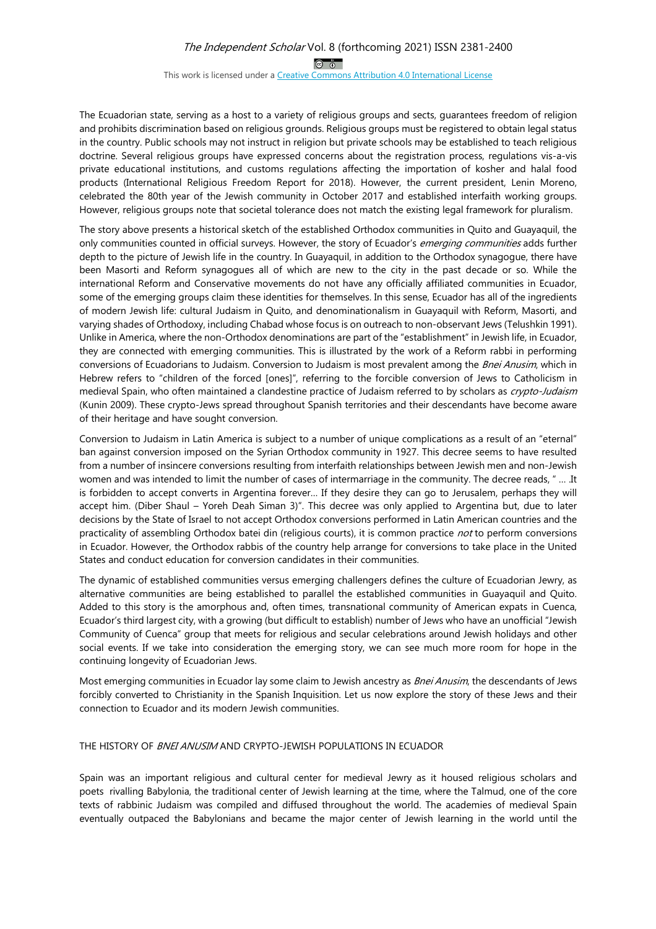# The Independent Scholar Vol. 8 (forthcoming 2021) ISSN 2381-2400  $\circledcirc$

This work is licensed under a Creative Commons Attribution 4.0 International License

The Ecuadorian state, serving as a host to a variety of religious groups and sects, guarantees freedom of religion and prohibits discrimination based on religious grounds. Religious groups must be registered to obtain legal status in the country. Public schools may not instruct in religion but private schools may be established to teach religious doctrine. Several religious groups have expressed concerns about the registration process, regulations vis-a-vis private educational institutions, and customs regulations affecting the importation of kosher and halal food products (International Religious Freedom Report for 2018). However, the current president, Lenin Moreno, celebrated the 80th year of the Jewish community in October 2017 and established interfaith working groups. However, religious groups note that societal tolerance does not match the existing legal framework for pluralism.

The story above presents a historical sketch of the established Orthodox communities in Quito and Guayaquil, the only communities counted in official surveys. However, the story of Ecuador's emerging communities adds further depth to the picture of Jewish life in the country. In Guayaquil, in addition to the Orthodox synagogue, there have been Masorti and Reform synagogues all of which are new to the city in the past decade or so. While the international Reform and Conservative movements do not have any officially affiliated communities in Ecuador, some of the emerging groups claim these identities for themselves. In this sense, Ecuador has all of the ingredients of modern Jewish life: cultural Judaism in Quito, and denominationalism in Guayaquil with Reform, Masorti, and varying shades of Orthodoxy, including Chabad whose focus is on outreach to non-observant Jews (Telushkin 1991). Unlike in America, where the non-Orthodox denominations are part of the "establishment" in Jewish life, in Ecuador, they are connected with emerging communities. This is illustrated by the work of a Reform rabbi in performing conversions of Ecuadorians to Judaism. Conversion to Judaism is most prevalent among the Bnei Anusim, which in Hebrew refers to "children of the forced [ones]", referring to the forcible conversion of Jews to Catholicism in medieval Spain, who often maintained a clandestine practice of Judaism referred to by scholars as crypto-Judaism (Kunin 2009). These crypto-Jews spread throughout Spanish territories and their descendants have become aware of their heritage and have sought conversion.

Conversion to Judaism in Latin America is subject to a number of unique complications as a result of an "eternal" ban against conversion imposed on the Syrian Orthodox community in 1927. This decree seems to have resulted from a number of insincere conversions resulting from interfaith relationships between Jewish men and non-Jewish women and was intended to limit the number of cases of intermarriage in the community. The decree reads, " … .It is forbidden to accept converts in Argentina forever… If they desire they can go to Jerusalem, perhaps they will accept him. (Diber Shaul – Yoreh Deah Siman 3)". This decree was only applied to Argentina but, due to later decisions by the State of Israel to not accept Orthodox conversions performed in Latin American countries and the practicality of assembling Orthodox batei din (religious courts), it is common practice not to perform conversions in Ecuador. However, the Orthodox rabbis of the country help arrange for conversions to take place in the United States and conduct education for conversion candidates in their communities.

The dynamic of established communities versus emerging challengers defines the culture of Ecuadorian Jewry, as alternative communities are being established to parallel the established communities in Guayaquil and Quito. Added to this story is the amorphous and, often times, transnational community of American expats in Cuenca, Ecuador's third largest city, with a growing (but difficult to establish) number of Jews who have an unofficial "Jewish Community of Cuenca" group that meets for religious and secular celebrations around Jewish holidays and other social events. If we take into consideration the emerging story, we can see much more room for hope in the continuing longevity of Ecuadorian Jews.

Most emerging communities in Ecuador lay some claim to Jewish ancestry as Bnei Anusim, the descendants of Jews forcibly converted to Christianity in the Spanish Inquisition. Let us now explore the story of these Jews and their connection to Ecuador and its modern Jewish communities.

#### THE HISTORY OF *BNEI ANUSIM* AND CRYPTO-JEWISH POPULATIONS IN ECUADOR

Spain was an important religious and cultural center for medieval Jewry as it housed religious scholars and poets rivalling Babylonia, the traditional center of Jewish learning at the time, where the Talmud, one of the core texts of rabbinic Judaism was compiled and diffused throughout the world. The academies of medieval Spain eventually outpaced the Babylonians and became the major center of Jewish learning in the world until the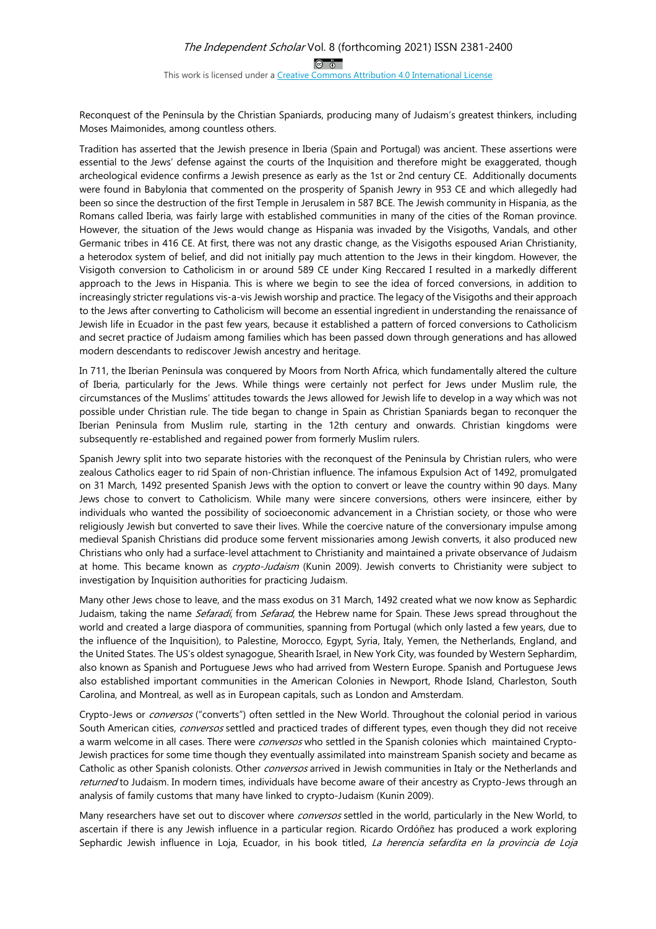Reconquest of the Peninsula by the Christian Spaniards, producing many of Judaism's greatest thinkers, including Moses Maimonides, among countless others.

Tradition has asserted that the Jewish presence in Iberia (Spain and Portugal) was ancient. These assertions were essential to the Jews' defense against the courts of the Inquisition and therefore might be exaggerated, though archeological evidence confirms a Jewish presence as early as the 1st or 2nd century CE. Additionally documents were found in Babylonia that commented on the prosperity of Spanish Jewry in 953 CE and which allegedly had been so since the destruction of the first Temple in Jerusalem in 587 BCE. The Jewish community in Hispania, as the Romans called Iberia, was fairly large with established communities in many of the cities of the Roman province. However, the situation of the Jews would change as Hispania was invaded by the Visigoths, Vandals, and other Germanic tribes in 416 CE. At first, there was not any drastic change, as the Visigoths espoused Arian Christianity, a heterodox system of belief, and did not initially pay much attention to the Jews in their kingdom. However, the Visigoth conversion to Catholicism in or around 589 CE under King Reccared I resulted in a markedly different approach to the Jews in Hispania. This is where we begin to see the idea of forced conversions, in addition to increasingly stricter regulations vis-a-vis Jewish worship and practice. The legacy of the Visigoths and their approach to the Jews after converting to Catholicism will become an essential ingredient in understanding the renaissance of Jewish life in Ecuador in the past few years, because it established a pattern of forced conversions to Catholicism and secret practice of Judaism among families which has been passed down through generations and has allowed modern descendants to rediscover Jewish ancestry and heritage.

In 711, the Iberian Peninsula was conquered by Moors from North Africa, which fundamentally altered the culture of Iberia, particularly for the Jews. While things were certainly not perfect for Jews under Muslim rule, the circumstances of the Muslims' attitudes towards the Jews allowed for Jewish life to develop in a way which was not possible under Christian rule. The tide began to change in Spain as Christian Spaniards began to reconquer the Iberian Peninsula from Muslim rule, starting in the 12th century and onwards. Christian kingdoms were subsequently re-established and regained power from formerly Muslim rulers.

Spanish Jewry split into two separate histories with the reconquest of the Peninsula by Christian rulers, who were zealous Catholics eager to rid Spain of non-Christian influence. The infamous Expulsion Act of 1492, promulgated on 31 March, 1492 presented Spanish Jews with the option to convert or leave the country within 90 days. Many Jews chose to convert to Catholicism. While many were sincere conversions, others were insincere, either by individuals who wanted the possibility of socioeconomic advancement in a Christian society, or those who were religiously Jewish but converted to save their lives. While the coercive nature of the conversionary impulse among medieval Spanish Christians did produce some fervent missionaries among Jewish converts, it also produced new Christians who only had a surface-level attachment to Christianity and maintained a private observance of Judaism at home. This became known as crypto-Judaism (Kunin 2009). Jewish converts to Christianity were subject to investigation by Inquisition authorities for practicing Judaism.

Many other Jews chose to leave, and the mass exodus on 31 March, 1492 created what we now know as Sephardic Judaism, taking the name Sefaradí, from Sefarad, the Hebrew name for Spain. These Jews spread throughout the world and created a large diaspora of communities, spanning from Portugal (which only lasted a few years, due to the influence of the Inquisition), to Palestine, Morocco, Egypt, Syria, Italy, Yemen, the Netherlands, England, and the United States. The US's oldest synagogue, Shearith Israel, in New York City, was founded by Western Sephardim, also known as Spanish and Portuguese Jews who had arrived from Western Europe. Spanish and Portuguese Jews also established important communities in the American Colonies in Newport, Rhode Island, Charleston, South Carolina, and Montreal, as well as in European capitals, such as London and Amsterdam.

Crypto-Jews or *conversos* ("converts") often settled in the New World. Throughout the colonial period in various South American cities, conversos settled and practiced trades of different types, even though they did not receive a warm welcome in all cases. There were *conversos* who settled in the Spanish colonies which maintained Crypto-Jewish practices for some time though they eventually assimilated into mainstream Spanish society and became as Catholic as other Spanish colonists. Other conversos arrived in Jewish communities in Italy or the Netherlands and returned to Judaism. In modern times, individuals have become aware of their ancestry as Crypto-Jews through an analysis of family customs that many have linked to crypto-Judaism (Kunin 2009).

Many researchers have set out to discover where conversos settled in the world, particularly in the New World, to ascertain if there is any Jewish influence in a particular region. Ricardo Ordóñez has produced a work exploring Sephardic Jewish influence in Loja, Ecuador, in his book titled, La herencia sefardita en la provincia de Loja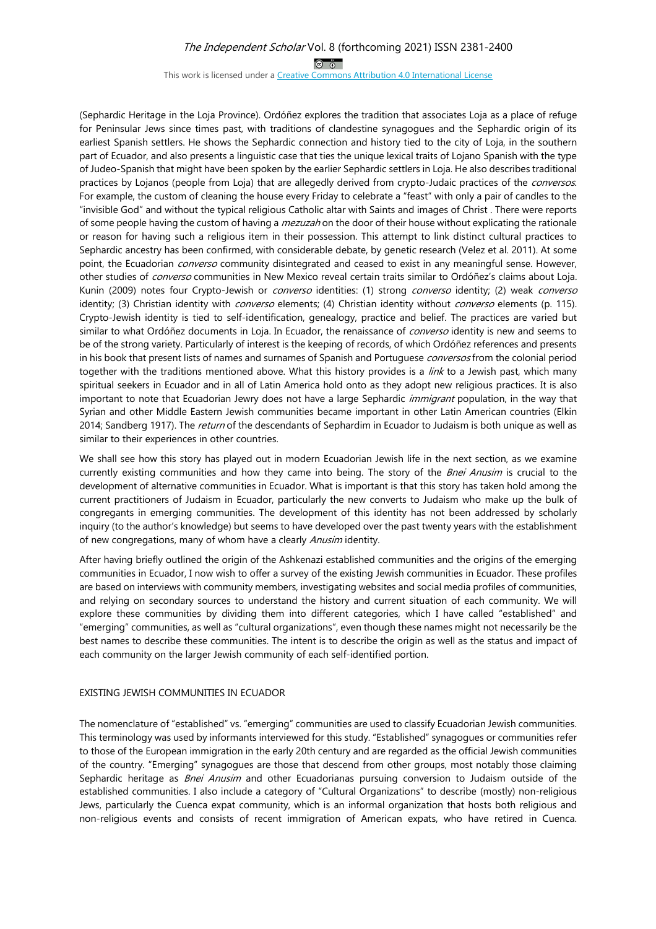$\circledcirc$   $\circledcirc$ 

This work is licensed under a Creative Commons Attribution 4.0 International License

(Sephardic Heritage in the Loja Province). Ordóñez explores the tradition that associates Loja as a place of refuge for Peninsular Jews since times past, with traditions of clandestine synagogues and the Sephardic origin of its earliest Spanish settlers. He shows the Sephardic connection and history tied to the city of Loja, in the southern part of Ecuador, and also presents a linguistic case that ties the unique lexical traits of Lojano Spanish with the type of Judeo-Spanish that might have been spoken by the earlier Sephardic settlers in Loja. He also describes traditional practices by Lojanos (people from Loja) that are allegedly derived from crypto-Judaic practices of the *conversos*. For example, the custom of cleaning the house every Friday to celebrate a "feast" with only a pair of candles to the "invisible God" and without the typical religious Catholic altar with Saints and images of Christ . There were reports of some people having the custom of having a *mezuzah* on the door of their house without explicating the rationale or reason for having such a religious item in their possession. This attempt to link distinct cultural practices to Sephardic ancestry has been confirmed, with considerable debate, by genetic research (Velez et al. 2011). At some point, the Ecuadorian *converso* community disintegrated and ceased to exist in any meaningful sense. However, other studies of *converso* communities in New Mexico reveal certain traits similar to Ordóñez's claims about Loja. Kunin (2009) notes four Crypto-Jewish or *converso* identities: (1) strong *converso* identity; (2) weak *converso* identity; (3) Christian identity with *converso* elements; (4) Christian identity without *converso* elements (p. 115). Crypto-Jewish identity is tied to self-identification, genealogy, practice and belief. The practices are varied but similar to what Ordóñez documents in Loja. In Ecuador, the renaissance of *converso* identity is new and seems to be of the strong variety. Particularly of interest is the keeping of records, of which Ordóñez references and presents in his book that present lists of names and surnames of Spanish and Portuguese conversos from the colonial period together with the traditions mentioned above. What this history provides is a *link* to a Jewish past, which many spiritual seekers in Ecuador and in all of Latin America hold onto as they adopt new religious practices. It is also important to note that Ecuadorian Jewry does not have a large Sephardic immigrant population, in the way that Syrian and other Middle Eastern Jewish communities became important in other Latin American countries (Elkin 2014; Sandberg 1917). The return of the descendants of Sephardim in Ecuador to Judaism is both unique as well as similar to their experiences in other countries.

We shall see how this story has played out in modern Ecuadorian Jewish life in the next section, as we examine currently existing communities and how they came into being. The story of the Bnei Anusim is crucial to the development of alternative communities in Ecuador. What is important is that this story has taken hold among the current practitioners of Judaism in Ecuador, particularly the new converts to Judaism who make up the bulk of congregants in emerging communities. The development of this identity has not been addressed by scholarly inquiry (to the author's knowledge) but seems to have developed over the past twenty years with the establishment of new congregations, many of whom have a clearly Anusim identity.

After having briefly outlined the origin of the Ashkenazi established communities and the origins of the emerging communities in Ecuador, I now wish to offer a survey of the existing Jewish communities in Ecuador. These profiles are based on interviews with community members, investigating websites and social media profiles of communities, and relying on secondary sources to understand the history and current situation of each community. We will explore these communities by dividing them into different categories, which I have called "established" and "emerging" communities, as well as "cultural organizations", even though these names might not necessarily be the best names to describe these communities. The intent is to describe the origin as well as the status and impact of each community on the larger Jewish community of each self-identified portion.

#### EXISTING JEWISH COMMUNITIES IN ECUADOR

The nomenclature of "established" vs. "emerging" communities are used to classify Ecuadorian Jewish communities. This terminology was used by informants interviewed for this study. "Established" synagogues or communities refer to those of the European immigration in the early 20th century and are regarded as the official Jewish communities of the country. "Emerging" synagogues are those that descend from other groups, most notably those claiming Sephardic heritage as *Bnei Anusim* and other Ecuadorianas pursuing conversion to Judaism outside of the established communities. I also include a category of "Cultural Organizations" to describe (mostly) non-religious Jews, particularly the Cuenca expat community, which is an informal organization that hosts both religious and non-religious events and consists of recent immigration of American expats, who have retired in Cuenca.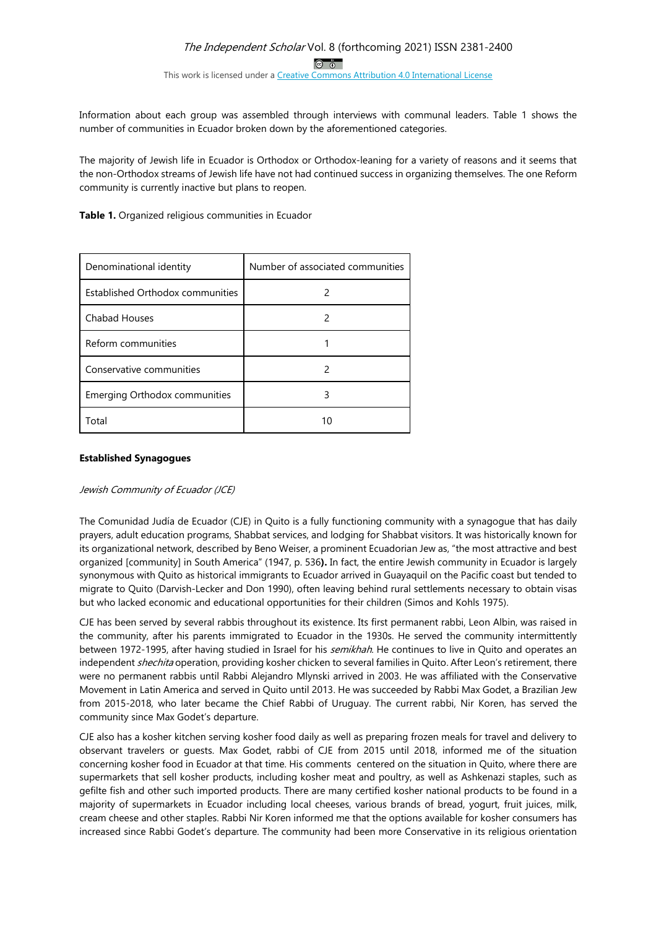Information about each group was assembled through interviews with communal leaders. Table 1 shows the number of communities in Ecuador broken down by the aforementioned categories.

The majority of Jewish life in Ecuador is Orthodox or Orthodox-leaning for a variety of reasons and it seems that the non-Orthodox streams of Jewish life have not had continued success in organizing themselves. The one Reform community is currently inactive but plans to reopen.

**Table 1.** Organized religious communities in Ecuador

| Denominational identity              | Number of associated communities |
|--------------------------------------|----------------------------------|
| Established Orthodox communities     |                                  |
| <b>Chabad Houses</b>                 |                                  |
| Reform communities                   |                                  |
| Conservative communities             |                                  |
| <b>Emerging Orthodox communities</b> |                                  |
| Total                                | 10                               |

#### **Established Synagogues**

Jewish Community of Ecuador (JCE)

The Comunidad Judía de Ecuador (CJE) in Quito is a fully functioning community with a synagogue that has daily prayers, adult education programs, Shabbat services, and lodging for Shabbat visitors. It was historically known for its organizational network, described by Beno Weiser, a prominent Ecuadorian Jew as, "the most attractive and best organized [community] in South America" (1947, p. 536**).** In fact, the entire Jewish community in Ecuador is largely synonymous with Quito as historical immigrants to Ecuador arrived in Guayaquil on the Pacific coast but tended to migrate to Quito (Darvish-Lecker and Don 1990), often leaving behind rural settlements necessary to obtain visas but who lacked economic and educational opportunities for their children (Simos and Kohls 1975).

CJE has been served by several rabbis throughout its existence. Its first permanent rabbi, Leon Albin, was raised in the community, after his parents immigrated to Ecuador in the 1930s. He served the community intermittently between 1972-1995, after having studied in Israel for his *semikhah*. He continues to live in Quito and operates an independent shechita operation, providing kosher chicken to several families in Quito. After Leon's retirement, there were no permanent rabbis until Rabbi Alejandro Mlynski arrived in 2003. He was affiliated with the Conservative Movement in Latin America and served in Quito until 2013. He was succeeded by Rabbi Max Godet, a Brazilian Jew from 2015-2018, who later became the Chief Rabbi of Uruguay. The current rabbi, Nir Koren, has served the community since Max Godet's departure.

CJE also has a kosher kitchen serving kosher food daily as well as preparing frozen meals for travel and delivery to observant travelers or guests. Max Godet, rabbi of CJE from 2015 until 2018, informed me of the situation concerning kosher food in Ecuador at that time. His comments centered on the situation in Quito, where there are supermarkets that sell kosher products, including kosher meat and poultry, as well as Ashkenazi staples, such as gefilte fish and other such imported products. There are many certified kosher national products to be found in a majority of supermarkets in Ecuador including local cheeses, various brands of bread, yogurt, fruit juices, milk, cream cheese and other staples. Rabbi Nir Koren informed me that the options available for kosher consumers has increased since Rabbi Godet's departure. The community had been more Conservative in its religious orientation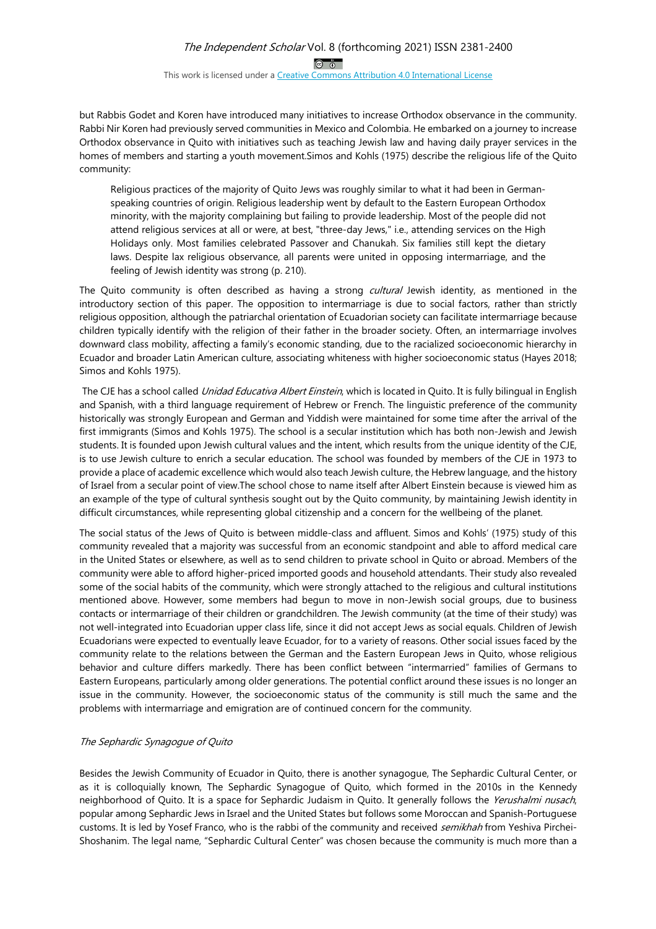but Rabbis Godet and Koren have introduced many initiatives to increase Orthodox observance in the community. Rabbi Nir Koren had previously served communities in Mexico and Colombia. He embarked on a journey to increase Orthodox observance in Quito with initiatives such as teaching Jewish law and having daily prayer services in the homes of members and starting a youth movement.Simos and Kohls (1975) describe the religious life of the Quito community:

Religious practices of the majority of Quito Jews was roughly similar to what it had been in Germanspeaking countries of origin. Religious leadership went by default to the Eastern European Orthodox minority, with the majority complaining but failing to provide leadership. Most of the people did not attend religious services at all or were, at best, "three-day Jews," i.e., attending services on the High Holidays only. Most families celebrated Passover and Chanukah. Six families still kept the dietary laws. Despite lax religious observance, all parents were united in opposing intermarriage, and the feeling of Jewish identity was strong (p. 210).

The Quito community is often described as having a strong cultural Jewish identity, as mentioned in the introductory section of this paper. The opposition to intermarriage is due to social factors, rather than strictly religious opposition, although the patriarchal orientation of Ecuadorian society can facilitate intermarriage because children typically identify with the religion of their father in the broader society. Often, an intermarriage involves downward class mobility, affecting a family's economic standing, due to the racialized socioeconomic hierarchy in Ecuador and broader Latin American culture, associating whiteness with higher socioeconomic status (Hayes 2018; Simos and Kohls 1975).

The CJE has a school called *Unidad Educativa Albert Einstein*, which is located in Quito. It is fully bilingual in English and Spanish, with a third language requirement of Hebrew or French. The linguistic preference of the community historically was strongly European and German and Yiddish were maintained for some time after the arrival of the first immigrants (Simos and Kohls 1975). The school is a secular institution which has both non-Jewish and Jewish students. It is founded upon Jewish cultural values and the intent, which results from the unique identity of the CJE, is to use Jewish culture to enrich a secular education. The school was founded by members of the CJE in 1973 to provide a place of academic excellence which would also teach Jewish culture, the Hebrew language, and the history of Israel from a secular point of view.The school chose to name itself after Albert Einstein because is viewed him as an example of the type of cultural synthesis sought out by the Quito community, by maintaining Jewish identity in difficult circumstances, while representing global citizenship and a concern for the wellbeing of the planet.

The social status of the Jews of Quito is between middle-class and affluent. Simos and Kohls' (1975) study of this community revealed that a majority was successful from an economic standpoint and able to afford medical care in the United States or elsewhere, as well as to send children to private school in Quito or abroad. Members of the community were able to afford higher-priced imported goods and household attendants. Their study also revealed some of the social habits of the community, which were strongly attached to the religious and cultural institutions mentioned above. However, some members had begun to move in non-Jewish social groups, due to business contacts or intermarriage of their children or grandchildren. The Jewish community (at the time of their study) was not well-integrated into Ecuadorian upper class life, since it did not accept Jews as social equals. Children of Jewish Ecuadorians were expected to eventually leave Ecuador, for to a variety of reasons. Other social issues faced by the community relate to the relations between the German and the Eastern European Jews in Quito, whose religious behavior and culture differs markedly. There has been conflict between "intermarried" families of Germans to Eastern Europeans, particularly among older generations. The potential conflict around these issues is no longer an issue in the community. However, the socioeconomic status of the community is still much the same and the problems with intermarriage and emigration are of continued concern for the community.

#### The Sephardic Synagogue of Quito

Besides the Jewish Community of Ecuador in Quito, there is another synagogue, The Sephardic Cultural Center, or as it is colloquially known, The Sephardic Synagogue of Quito, which formed in the 2010s in the Kennedy neighborhood of Quito. It is a space for Sephardic Judaism in Quito. It generally follows the Yerushalmi nusach, popular among Sephardic Jews in Israel and the United States but follows some Moroccan and Spanish-Portuguese customs. It is led by Yosef Franco, who is the rabbi of the community and received semikhah from Yeshiva Pirchei-Shoshanim. The legal name, "Sephardic Cultural Center" was chosen because the community is much more than a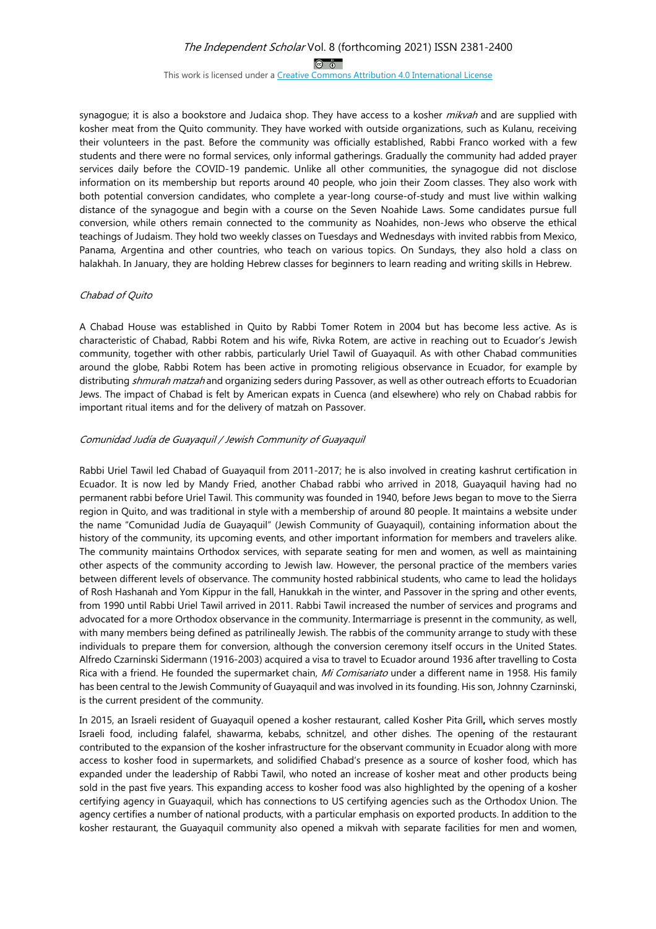$\circledcirc$   $\circledcirc$ 

This work is licensed under a Creative Commons Attribution 4.0 International License

synagogue; it is also a bookstore and Judaica shop. They have access to a kosher mikvah and are supplied with kosher meat from the Quito community. They have worked with outside organizations, such as Kulanu, receiving their volunteers in the past. Before the community was officially established, Rabbi Franco worked with a few students and there were no formal services, only informal gatherings. Gradually the community had added prayer services daily before the COVID-19 pandemic. Unlike all other communities, the synagogue did not disclose information on its membership but reports around 40 people, who join their Zoom classes. They also work with both potential conversion candidates, who complete a year-long course-of-study and must live within walking distance of the synagogue and begin with a course on the Seven Noahide Laws. Some candidates pursue full conversion, while others remain connected to the community as Noahides, non-Jews who observe the ethical teachings of Judaism. They hold two weekly classes on Tuesdays and Wednesdays with invited rabbis from Mexico, Panama, Argentina and other countries, who teach on various topics. On Sundays, they also hold a class on halakhah. In January, they are holding Hebrew classes for beginners to learn reading and writing skills in Hebrew.

#### Chabad of Quito

A Chabad House was established in Quito by Rabbi Tomer Rotem in 2004 but has become less active. As is characteristic of Chabad, Rabbi Rotem and his wife, Rivka Rotem, are active in reaching out to Ecuador's Jewish community, together with other rabbis, particularly Uriel Tawil of Guayaquil. As with other Chabad communities around the globe, Rabbi Rotem has been active in promoting religious observance in Ecuador, for example by distributing shmurah matzah and organizing seders during Passover, as well as other outreach efforts to Ecuadorian Jews. The impact of Chabad is felt by American expats in Cuenca (and elsewhere) who rely on Chabad rabbis for important ritual items and for the delivery of matzah on Passover.

#### Comunidad Judía de Guayaquil / Jewish Community of Guayaquil

Rabbi Uriel Tawil led Chabad of Guayaquil from 2011-2017; he is also involved in creating kashrut certification in Ecuador. It is now led by Mandy Fried, another Chabad rabbi who arrived in 2018, Guayaquil having had no permanent rabbi before Uriel Tawil. This community was founded in 1940, before Jews began to move to the Sierra region in Quito, and was traditional in style with a membership of around 80 people. It maintains a website under the name "Comunidad Judía de Guayaquil" (Jewish Community of Guayaquil), containing information about the history of the community, its upcoming events, and other important information for members and travelers alike. The community maintains Orthodox services, with separate seating for men and women, as well as maintaining other aspects of the community according to Jewish law. However, the personal practice of the members varies between different levels of observance. The community hosted rabbinical students, who came to lead the holidays of Rosh Hashanah and Yom Kippur in the fall, Hanukkah in the winter, and Passover in the spring and other events, from 1990 until Rabbi Uriel Tawil arrived in 2011. Rabbi Tawil increased the number of services and programs and advocated for a more Orthodox observance in the community. Intermarriage is presennt in the community, as well, with many members being defined as patrilineally Jewish. The rabbis of the community arrange to study with these individuals to prepare them for conversion, although the conversion ceremony itself occurs in the United States. Alfredo Czarninski Sidermann (1916-2003) acquired a visa to travel to Ecuador around 1936 after travelling to Costa Rica with a friend. He founded the supermarket chain, Mi Comisariato under a different name in 1958. His family has been central to the Jewish Community of Guayaquil and was involved in its founding. His son, Johnny Czarninski, is the current president of the community.

In 2015, an Israeli resident of Guayaquil opened a kosher restaurant, called Kosher Pita Grill**,** which serves mostly Israeli food, including falafel, shawarma, kebabs, schnitzel, and other dishes. The opening of the restaurant contributed to the expansion of the kosher infrastructure for the observant community in Ecuador along with more access to kosher food in supermarkets, and solidified Chabad's presence as a source of kosher food, which has expanded under the leadership of Rabbi Tawil, who noted an increase of kosher meat and other products being sold in the past five years. This expanding access to kosher food was also highlighted by the opening of a kosher certifying agency in Guayaquil, which has connections to US certifying agencies such as the Orthodox Union. The agency certifies a number of national products, with a particular emphasis on exported products. In addition to the kosher restaurant, the Guayaquil community also opened a mikvah with separate facilities for men and women,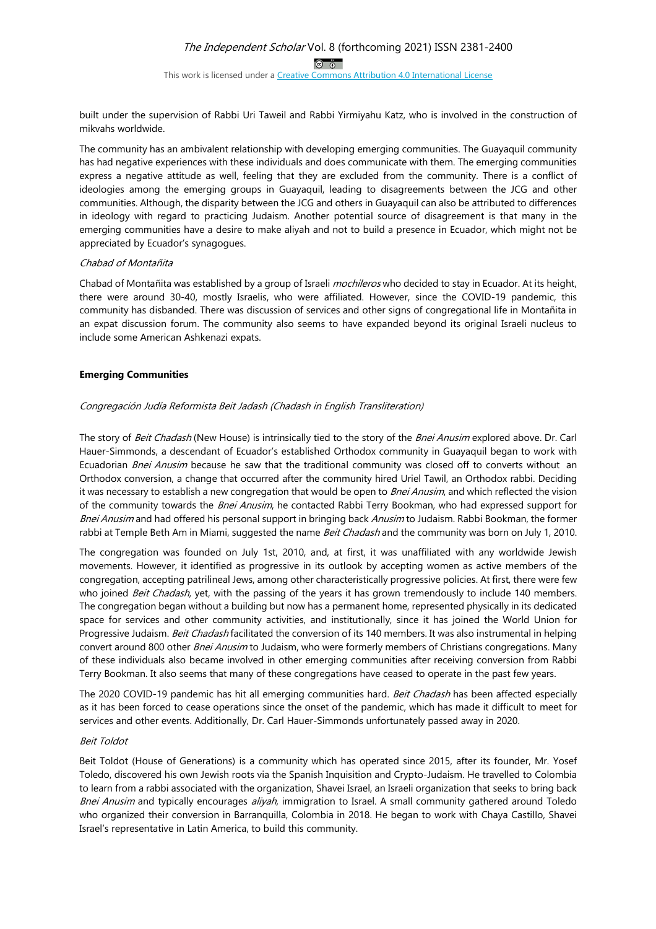This work is licensed under a Creative Commons Attribution 4.0 International License

built under the supervision of Rabbi Uri Taweil and Rabbi Yirmiyahu Katz, who is involved in the construction of mikvahs worldwide.

The community has an ambivalent relationship with developing emerging communities. The Guayaquil community has had negative experiences with these individuals and does communicate with them. The emerging communities express a negative attitude as well, feeling that they are excluded from the community. There is a conflict of ideologies among the emerging groups in Guayaquil, leading to disagreements between the JCG and other communities. Although, the disparity between the JCG and others in Guayaquil can also be attributed to differences in ideology with regard to practicing Judaism. Another potential source of disagreement is that many in the emerging communities have a desire to make aliyah and not to build a presence in Ecuador, which might not be appreciated by Ecuador's synagogues.

#### Chabad of Montañita

Chabad of Montañita was established by a group of Israeli *mochileros* who decided to stay in Ecuador. At its height, there were around 30-40, mostly Israelis, who were affiliated. However, since the COVID-19 pandemic, this community has disbanded. There was discussion of services and other signs of congregational life in Montañita in an expat discussion forum. The community also seems to have expanded beyond its original Israeli nucleus to include some American Ashkenazi expats.

#### **Emerging Communities**

#### Congregación Judía Reformista Beit Jadash (Chadash in English Transliteration)

The story of Beit Chadash (New House) is intrinsically tied to the story of the Bnei Anusim explored above. Dr. Carl Hauer-Simmonds, a descendant of Ecuador's established Orthodox community in Guayaquil began to work with Ecuadorian Bnei Anusim because he saw that the traditional community was closed off to converts without an Orthodox conversion, a change that occurred after the community hired Uriel Tawil, an Orthodox rabbi. Deciding it was necessary to establish a new congregation that would be open to *Bnei Anusim*, and which reflected the vision of the community towards the Bnei Anusim, he contacted Rabbi Terry Bookman, who had expressed support for Bnei Anusim and had offered his personal support in bringing back Anusim to Judaism. Rabbi Bookman, the former rabbi at Temple Beth Am in Miami, suggested the name Beit Chadash and the community was born on July 1, 2010.

The congregation was founded on July 1st, 2010, and, at first, it was unaffiliated with any worldwide Jewish movements. However, it identified as progressive in its outlook by accepting women as active members of the congregation, accepting patrilineal Jews, among other characteristically progressive policies. At first, there were few who joined Beit Chadash, yet, with the passing of the years it has grown tremendously to include 140 members. The congregation began without a building but now has a permanent home, represented physically in its dedicated space for services and other community activities, and institutionally, since it has joined the World Union for Progressive Judaism. Beit Chadash facilitated the conversion of its 140 members. It was also instrumental in helping convert around 800 other *Bnei Anusim* to Judaism, who were formerly members of Christians congregations. Many of these individuals also became involved in other emerging communities after receiving conversion from Rabbi Terry Bookman. It also seems that many of these congregations have ceased to operate in the past few years.

The 2020 COVID-19 pandemic has hit all emerging communities hard. Beit Chadash has been affected especially as it has been forced to cease operations since the onset of the pandemic, which has made it difficult to meet for services and other events. Additionally, Dr. Carl Hauer-Simmonds unfortunately passed away in 2020.

#### Beit Toldot

Beit Toldot (House of Generations) is a community which has operated since 2015, after its founder, Mr. Yosef Toledo, discovered his own Jewish roots via the Spanish Inquisition and Crypto-Judaism. He travelled to Colombia to learn from a rabbi associated with the organization, Shavei Israel, an Israeli organization that seeks to bring back Bnei Anusim and typically encourages aliyah, immigration to Israel. A small community gathered around Toledo who organized their conversion in Barranquilla, Colombia in 2018. He began to work with Chaya Castillo, Shavei Israel's representative in Latin America, to build this community.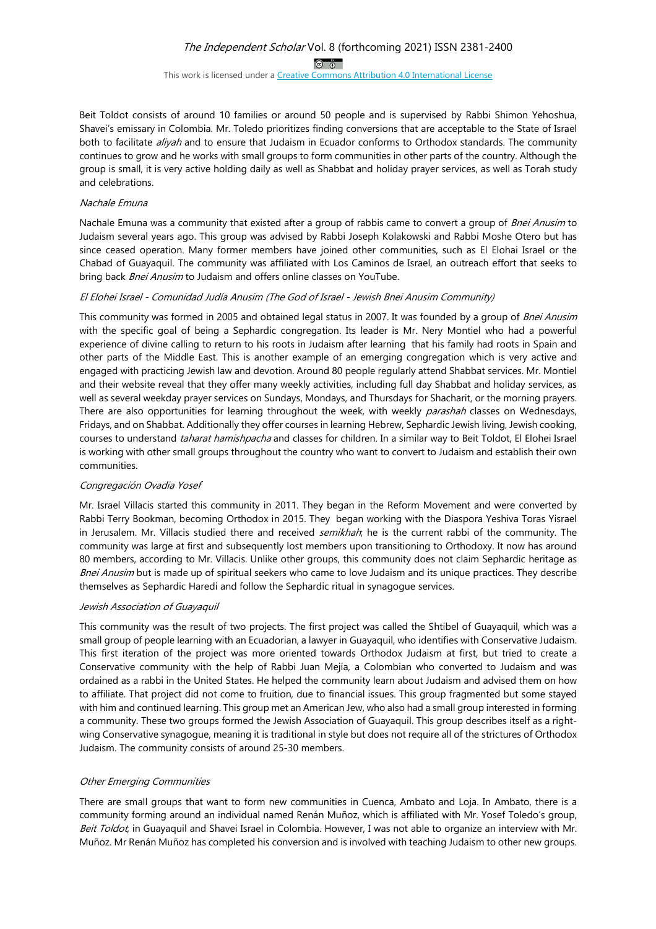$\circledcirc$ 

This work is licensed under a Creative Commons Attribution 4.0 International License

Beit Toldot consists of around 10 families or around 50 people and is supervised by Rabbi Shimon Yehoshua, Shavei's emissary in Colombia. Mr. Toledo prioritizes finding conversions that are acceptable to the State of Israel both to facilitate *aliyah* and to ensure that Judaism in Ecuador conforms to Orthodox standards. The community continues to grow and he works with small groups to form communities in other parts of the country. Although the group is small, it is very active holding daily as well as Shabbat and holiday prayer services, as well as Torah study and celebrations.

#### Nachale Emuna

Nachale Emuna was a community that existed after a group of rabbis came to convert a group of Bnei Anusim to Judaism several years ago. This group was advised by Rabbi Joseph Kolakowski and Rabbi Moshe Otero but has since ceased operation. Many former members have joined other communities, such as El Elohai Israel or the Chabad of Guayaquil. The community was affiliated with Los Caminos de Israel, an outreach effort that seeks to bring back Bnei Anusim to Judaism and offers online classes on YouTube.

#### El Elohei Israel - Comunidad Judía Anusim (The God of Israel - Jewish Bnei Anusim Community)

This community was formed in 2005 and obtained legal status in 2007. It was founded by a group of Bnei Anusim with the specific goal of being a Sephardic congregation. Its leader is Mr. Nery Montiel who had a powerful experience of divine calling to return to his roots in Judaism after learning that his family had roots in Spain and other parts of the Middle East. This is another example of an emerging congregation which is very active and engaged with practicing Jewish law and devotion. Around 80 people regularly attend Shabbat services. Mr. Montiel and their website reveal that they offer many weekly activities, including full day Shabbat and holiday services, as well as several weekday prayer services on Sundays, Mondays, and Thursdays for Shacharit, or the morning prayers. There are also opportunities for learning throughout the week, with weekly *parashah* classes on Wednesdays, Fridays, and on Shabbat. Additionally they offer courses in learning Hebrew, Sephardic Jewish living, Jewish cooking, courses to understand taharat hamishpacha and classes for children. In a similar way to Beit Toldot, El Elohei Israel is working with other small groups throughout the country who want to convert to Judaism and establish their own communities.

#### Congregación Ovadia Yosef

Mr. Israel Villacis started this community in 2011. They began in the Reform Movement and were converted by Rabbi Terry Bookman, becoming Orthodox in 2015. They began working with the Diaspora Yeshiva Toras Yisrael in Jerusalem. Mr. Villacis studied there and received semikhah; he is the current rabbi of the community. The community was large at first and subsequently lost members upon transitioning to Orthodoxy. It now has around 80 members, according to Mr. Villacis. Unlike other groups, this community does not claim Sephardic heritage as Bnei Anusim but is made up of spiritual seekers who came to love Judaism and its unique practices. They describe themselves as Sephardic Haredi and follow the Sephardic ritual in synagogue services.

#### Jewish Association of Guayaquil

This community was the result of two projects. The first project was called the Shtibel of Guayaquil, which was a small group of people learning with an Ecuadorian, a lawyer in Guayaquil, who identifies with Conservative Judaism. This first iteration of the project was more oriented towards Orthodox Judaism at first, but tried to create a Conservative community with the help of Rabbi Juan Mejía, a Colombian who converted to Judaism and was ordained as a rabbi in the United States. He helped the community learn about Judaism and advised them on how to affiliate. That project did not come to fruition, due to financial issues. This group fragmented but some stayed with him and continued learning. This group met an American Jew, who also had a small group interested in forming a community. These two groups formed the Jewish Association of Guayaquil. This group describes itself as a rightwing Conservative synagogue, meaning it is traditional in style but does not require all of the strictures of Orthodox Judaism. The community consists of around 25-30 members.

#### Other Emerging Communities

There are small groups that want to form new communities in Cuenca, Ambato and Loja. In Ambato, there is a community forming around an individual named Renán Muñoz, which is affiliated with Mr. Yosef Toledo's group, Beit Toldot, in Guayaquil and Shavei Israel in Colombia. However, I was not able to organize an interview with Mr. Muñoz. Mr Renán Muñoz has completed his conversion and is involved with teaching Judaism to other new groups.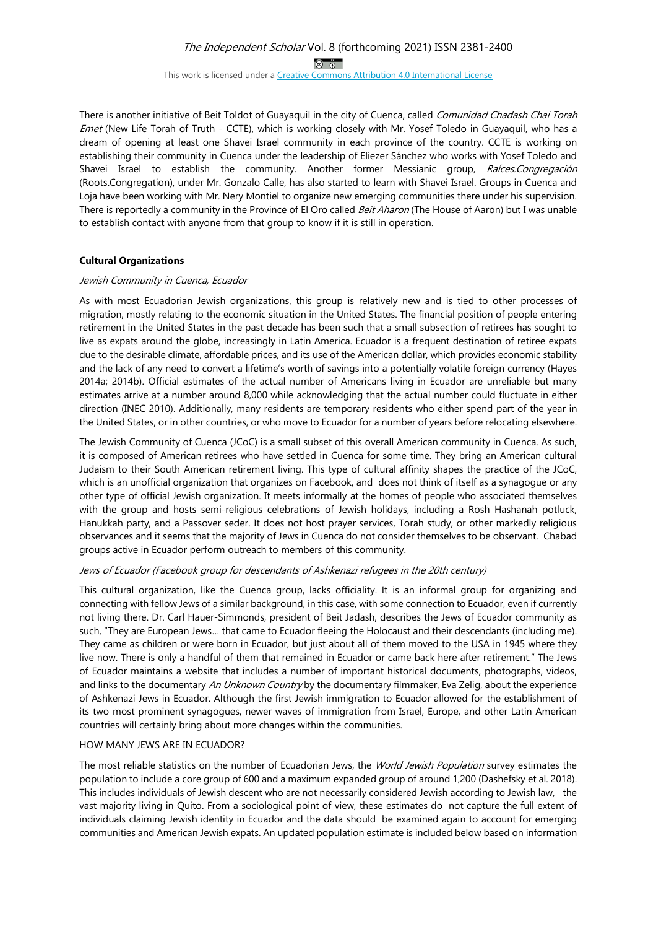# The Independent Scholar Vol. 8 (forthcoming 2021) ISSN 2381-2400  $\circledcirc$

This work is licensed under a Creative Commons Attribution 4.0 International License

There is another initiative of Beit Toldot of Guayaquil in the city of Cuenca, called Comunidad Chadash Chai Torah Emet (New Life Torah of Truth - CCTE), which is working closely with Mr. Yosef Toledo in Guayaquil, who has a dream of opening at least one Shavei Israel community in each province of the country. CCTE is working on establishing their community in Cuenca under the leadership of Eliezer Sánchez who works with Yosef Toledo and Shavei Israel to establish the community. Another former Messianic group, Raíces.Congregación (Roots.Congregation), under Mr. Gonzalo Calle, has also started to learn with Shavei Israel. Groups in Cuenca and Loja have been working with Mr. Nery Montiel to organize new emerging communities there under his supervision. There is reportedly a community in the Province of El Oro called Beit Aharon (The House of Aaron) but I was unable to establish contact with anyone from that group to know if it is still in operation.

#### **Cultural Organizations**

#### Jewish Community in Cuenca, Ecuador

As with most Ecuadorian Jewish organizations, this group is relatively new and is tied to other processes of migration, mostly relating to the economic situation in the United States. The financial position of people entering retirement in the United States in the past decade has been such that a small subsection of retirees has sought to live as expats around the globe, increasingly in Latin America. Ecuador is a frequent destination of retiree expats due to the desirable climate, affordable prices, and its use of the American dollar, which provides economic stability and the lack of any need to convert a lifetime's worth of savings into a potentially volatile foreign currency (Hayes 2014a; 2014b). Official estimates of the actual number of Americans living in Ecuador are unreliable but many estimates arrive at a number around 8,000 while acknowledging that the actual number could fluctuate in either direction (INEC 2010). Additionally, many residents are temporary residents who either spend part of the year in the United States, or in other countries, or who move to Ecuador for a number of years before relocating elsewhere.

The Jewish Community of Cuenca (JCoC) is a small subset of this overall American community in Cuenca. As such, it is composed of American retirees who have settled in Cuenca for some time. They bring an American cultural Judaism to their South American retirement living. This type of cultural affinity shapes the practice of the JCoC, which is an unofficial organization that organizes on Facebook, and does not think of itself as a synagogue or any other type of official Jewish organization. It meets informally at the homes of people who associated themselves with the group and hosts semi-religious celebrations of Jewish holidays, including a Rosh Hashanah potluck, Hanukkah party, and a Passover seder. It does not host prayer services, Torah study, or other markedly religious observances and it seems that the majority of Jews in Cuenca do not consider themselves to be observant. Chabad groups active in Ecuador perform outreach to members of this community.

#### Jews of Ecuador (Facebook group for descendants of Ashkenazi refugees in the 20th century)

This cultural organization, like the Cuenca group, lacks officiality. It is an informal group for organizing and connecting with fellow Jews of a similar background, in this case, with some connection to Ecuador, even if currently not living there. Dr. Carl Hauer-Simmonds, president of Beit Jadash, describes the Jews of Ecuador community as such, "They are European Jews… that came to Ecuador fleeing the Holocaust and their descendants (including me). They came as children or were born in Ecuador, but just about all of them moved to the USA in 1945 where they live now. There is only a handful of them that remained in Ecuador or came back here after retirement." The Jews of Ecuador maintains a website that includes a number of important historical documents, photographs, videos, and links to the documentary An Unknown Country by the documentary filmmaker, Eva Zelig, about the experience of Ashkenazi Jews in Ecuador. Although the first Jewish immigration to Ecuador allowed for the establishment of its two most prominent synagogues, newer waves of immigration from Israel, Europe, and other Latin American countries will certainly bring about more changes within the communities.

#### HOW MANY JEWS ARE IN ECUADOR?

The most reliable statistics on the number of Ecuadorian Jews, the World Jewish Population survey estimates the population to include a core group of 600 and a maximum expanded group of around 1,200 (Dashefsky et al. 2018). This includes individuals of Jewish descent who are not necessarily considered Jewish according to Jewish law, the vast majority living in Quito. From a sociological point of view, these estimates do not capture the full extent of individuals claiming Jewish identity in Ecuador and the data should be examined again to account for emerging communities and American Jewish expats. An updated population estimate is included below based on information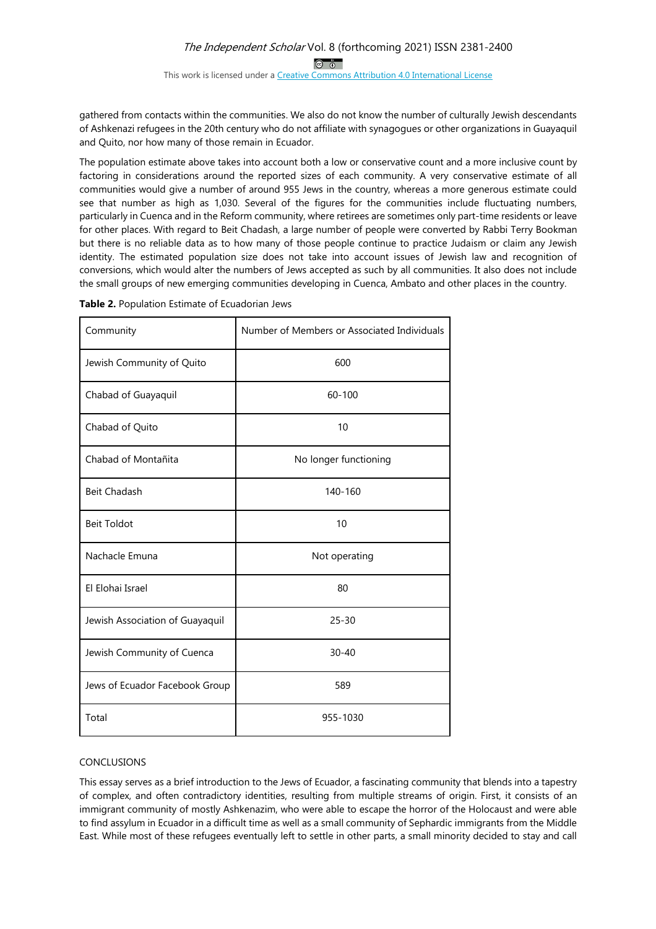## The Independent Scholar Vol. 8 (forthcoming 2021) ISSN 2381-2400  $\circledcirc$ This work is licensed under a Creative Commons Attribution 4.0 International License

gathered from contacts within the communities. We also do not know the number of culturally Jewish descendants of Ashkenazi refugees in the 20th century who do not affiliate with synagogues or other organizations in Guayaquil and Quito, nor how many of those remain in Ecuador.

The population estimate above takes into account both a low or conservative count and a more inclusive count by factoring in considerations around the reported sizes of each community. A very conservative estimate of all communities would give a number of around 955 Jews in the country, whereas a more generous estimate could see that number as high as 1,030. Several of the figures for the communities include fluctuating numbers, particularly in Cuenca and in the Reform community, where retirees are sometimes only part-time residents or leave for other places. With regard to Beit Chadash, a large number of people were converted by Rabbi Terry Bookman but there is no reliable data as to how many of those people continue to practice Judaism or claim any Jewish identity. The estimated population size does not take into account issues of Jewish law and recognition of conversions, which would alter the numbers of Jews accepted as such by all communities. It also does not include the small groups of new emerging communities developing in Cuenca, Ambato and other places in the country.

| Community                       | Number of Members or Associated Individuals |
|---------------------------------|---------------------------------------------|
| Jewish Community of Quito       | 600                                         |
| Chabad of Guayaquil             | $60 - 100$                                  |
| Chabad of Quito                 | 10                                          |
| Chabad of Montañita             | No longer functioning                       |
| <b>Beit Chadash</b>             | 140-160                                     |
| <b>Beit Toldot</b>              | 10                                          |
| Nachacle Emuna                  | Not operating                               |
| El Elohai Israel                | 80                                          |
| Jewish Association of Guayaquil | $25 - 30$                                   |
| Jewish Community of Cuenca      | $30 - 40$                                   |
| Jews of Ecuador Facebook Group  | 589                                         |
| Total                           | 955-1030                                    |

**Table 2.** Population Estimate of Ecuadorian Jews

#### CONCLUSIONS

This essay serves as a brief introduction to the Jews of Ecuador, a fascinating community that blends into a tapestry of complex, and often contradictory identities, resulting from multiple streams of origin. First, it consists of an immigrant community of mostly Ashkenazim, who were able to escape the horror of the Holocaust and were able to find assylum in Ecuador in a difficult time as well as a small community of Sephardic immigrants from the Middle East. While most of these refugees eventually left to settle in other parts, a small minority decided to stay and call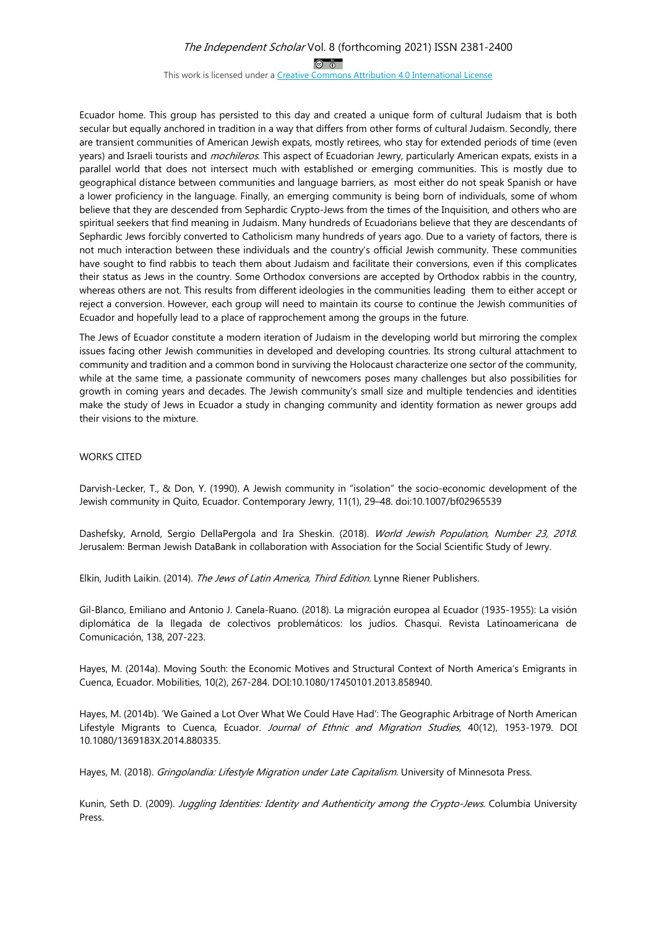$\circledcirc$ 

This work is licensed under a Creative Commons Attribution 4.0 International License

Ecuador home. This group has persisted to this day and created a unique form of cultural Judaism that is both secular but equally anchored in tradition in a way that differs from other forms of cultural Judaism. Secondly, there are transient communities of American Jewish expats, mostly retirees, who stay for extended periods of time (even years) and Israeli tourists and mochileros. This aspect of Ecuadorian Jewry, particularly American expats, exists in a parallel world that does not intersect much with established or emerging communities. This is mostly due to geographical distance between communities and language barriers, as most either do not speak Spanish or have a lower proficiency in the language. Finally, an emerging community is being born of individuals, some of whom believe that they are descended from Sephardic Crypto-Jews from the times of the Inquisition, and others who are spiritual seekers that find meaning in Judaism. Many hundreds of Ecuadorians believe that they are descendants of Sephardic Jews forcibly converted to Catholicism many hundreds of years ago. Due to a variety of factors, there is not much interaction between these individuals and the country's official Jewish community. These communities have sought to find rabbis to teach them about Judaism and facilitate their conversions, even if this complicates their status as Jews in the country. Some Orthodox conversions are accepted by Orthodox rabbis in the country, whereas others are not. This results from different ideologies in the communities leading them to either accept or reject a conversion. However, each group will need to maintain its course to continue the Jewish communities of Ecuador and hopefully lead to a place of rapprochement among the groups in the future.

The Jews of Ecuador constitute a modern iteration of Judaism in the developing world but mirroring the complex issues facing other Jewish communities in developed and developing countries. Its strong cultural attachment to community and tradition and a common bond in surviving the Holocaust characterize one sector of the community, while at the same time, a passionate community of newcomers poses many challenges but also possibilities for growth in coming years and decades. The Jewish community's small size and multiple tendencies and identities make the study of Jews in Ecuador a study in changing community and identity formation as newer groups add their visions to the mixture.

#### WORKS CITED

Darvish-Lecker, T., & Don, Y. (1990). A Jewish community in "isolation" the socio-economic development of the Jewish community in Quito, Ecuador. Contemporary Jewry, 11(1), 29–48. doi:10.1007/bf02965539

Dashefsky, Arnold, Sergio DellaPergola and Ira Sheskin. (2018). World Jewish Population, Number 23, 2018. Jerusalem: Berman Jewish DataBank in collaboration with Association for the Social Scientific Study of Jewry.

Elkin, Judith Laikin. (2014). The Jews of Latin America, Third Edition. Lynne Riener Publishers.

Gil-Blanco, Emiliano and Antonio J. Canela-Ruano. (2018). La migración europea al Ecuador (1935-1955): La visión diplomática de la llegada de colectivos problemáticos: los judíos. Chasqui. Revista Latinoamericana de Comunicación, 138, 207-223.

Hayes, M. (2014a). Moving South: the Economic Motives and Structural Context of North America's Emigrants in Cuenca, Ecuador. Mobilities, 10(2), 267-284. DOI:10.1080/17450101.2013.858940.

Hayes, M. (2014b). 'We Gained a Lot Over What We Could Have Had': The Geographic Arbitrage of North American Lifestyle Migrants to Cuenca, Ecuador. Journal of Ethnic and Migration Studies, 40(12), 1953-1979. DOI 10.1080/1369183X.2014.880335.

Hayes, M. (2018). Gringolandia: Lifestyle Migration under Late Capitalism. University of Minnesota Press.

Kunin, Seth D. (2009). Juggling Identities: Identity and Authenticity among the Crypto-Jews. Columbia University Press.